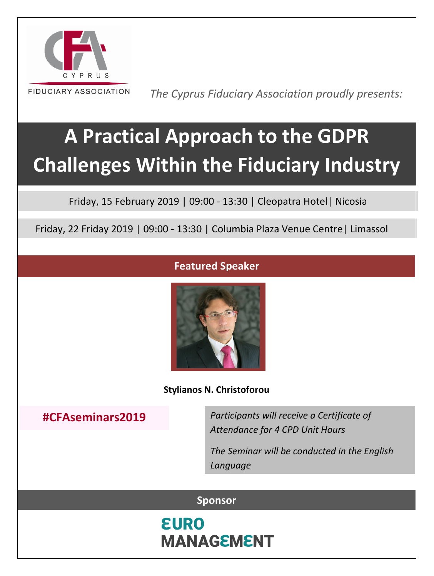

 *The Cyprus Fiduciary Association proudly presents:*

# **A Practical Approach to the GDPR Challenges Within the Fiduciary Industry**

Friday, 15 February 2019 | 09:00 - 13:30 | Cleopatra Hotel| Nicosia

Friday, 22 Friday 2019 | 09:00 - 13:30 | Columbia Plaza Venue Centre| Limassol

#### **Featured Speaker**



**Stylianos N. Christoforou**

### **#CFAseminars2019**

*Participants will receive a Certificate of Attendance for 4 CPD Unit Hours*

*The Seminar will be conducted in the English Language*

#### **Sponsor**

**EURO MANAGEMENT**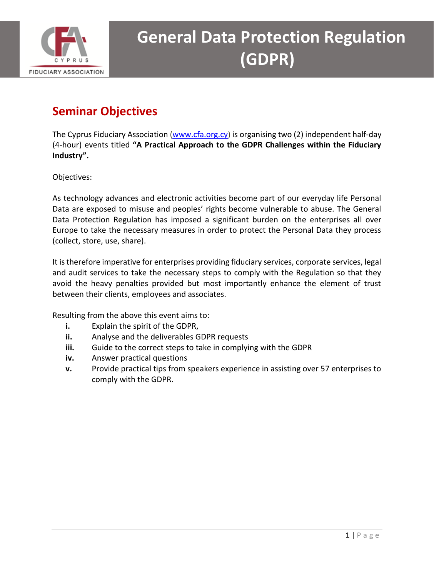

### **Seminar Objectives**

The Cyprus Fiduciary Association [\(www.cfa.org.cy\)](http://www.cfa.org.cy/) is organising two (2) independent half-day (4-hour) events titled **"A Practical Approach to the GDPR Challenges within the Fiduciary Industry".**

Objectives:

As technology advances and electronic activities become part of our everyday life Personal Data are exposed to misuse and peoples' rights become vulnerable to abuse. The General Data Protection Regulation has imposed a significant burden on the enterprises all over Europe to take the necessary measures in order to protect the Personal Data they process (collect, store, use, share).

It is therefore imperative for enterprises providing fiduciary services, corporate services, legal and audit services to take the necessary steps to comply with the Regulation so that they avoid the heavy penalties provided but most importantly enhance the element of trust between their clients, employees and associates.

Resulting from the above this event aims to:

- **i.** Explain the spirit of the GDPR,
- **ii.** Analyse and the deliverables GDPR requests
- **iii.** Guide to the correct steps to take in complying with the GDPR
- **iv.** Answer practical questions
- **v.** Provide practical tips from speakers experience in assisting over 57 enterprises to comply with the GDPR.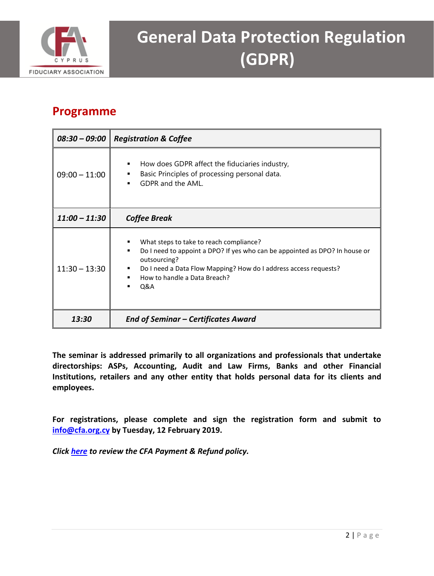

#### **Programme**

| $08:30 - 09:00$ | <b>Registration &amp; Coffee</b>                                                                                                                                                                                                                                                         |
|-----------------|------------------------------------------------------------------------------------------------------------------------------------------------------------------------------------------------------------------------------------------------------------------------------------------|
| $09:00 - 11:00$ | How does GDPR affect the fiduciaries industry,<br>٠<br>Basic Principles of processing personal data.<br>٠<br>GDPR and the AML.<br>٠                                                                                                                                                      |
| $11:00 - 11:30$ | <b>Coffee Break</b>                                                                                                                                                                                                                                                                      |
| $11:30 - 13:30$ | What steps to take to reach compliance?<br>٠<br>Do I need to appoint a DPO? If yes who can be appointed as DPO? In house or<br>٠<br>outsourcing?<br>Do I need a Data Flow Mapping? How do I address access requests?<br>$\blacksquare$<br>How to handle a Data Breach?<br><b>Q&amp;A</b> |
| 13:30           | <b>End of Seminar - Certificates Award</b>                                                                                                                                                                                                                                               |

**The seminar is addressed primarily to all organizations and professionals that undertake directorships: ASPs, Accounting, Audit and Law Firms, Banks and other Financial Institutions, retailers and any other entity that holds personal data for its clients and employees.** 

**For registrations, please complete and sign the registration form and submit to [info@cfa.org.cy](mailto:info@cfa.org.cy) by Tuesday, 12 February 2019.**

*Click [here](http://www.cfa.org.cy/payment-refund-policy) to review the CFA Payment & Refund policy.*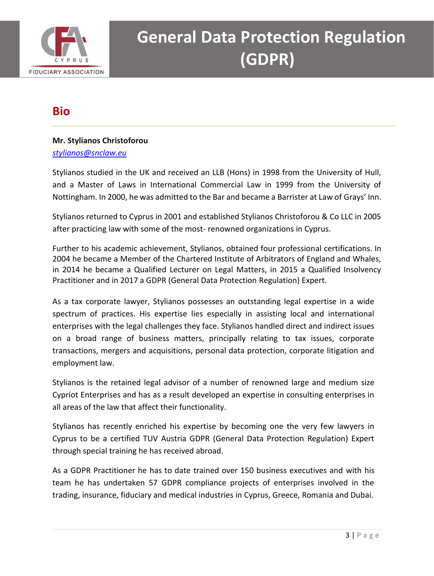

### **Bio**

#### **Mr. Stylianos Christoforou** *stylianos@snclaw.eu*

Stylianos studied in the UK and received an LLB (Hons) in 1998 from the University of Hull, and a Master of Laws in International Commercial Law in 1999 from the University of Nottingham. In 2000, he was admitted to the Bar and became a Barrister at Law of Grays' Inn.

Stylianos returned to Cyprus in 2001 and established Stylianos Christoforou & Co LLC in 2005 after practicing law with some of the most- renowned organizations in Cyprus.

Further to his academic achievement, Stylianos, obtained four professional certifications. In 2004 he became a Member of the Chartered Institute of Arbitrators of England and Whales, in 2014 he became a Qualified Lecturer on Legal Matters, in 2015 a Qualified Insolvency Practitioner and in 2017 a GDPR (General Data Protection Regulation) Expert.

As a tax corporate lawyer, Stylianos possesses an outstanding legal expertise in a wide spectrum of practices. His expertise lies especially in assisting local and international enterprises with the legal challenges they face. Stylianos handled direct and indirect issues on a broad range of business matters, principally relating to tax issues, corporate transactions, mergers and acquisitions, personal data protection, corporate litigation and employment law.

Stylianos is the retained legal advisor of a number of renowned large and medium size Cypriot Enterprises and has as a result developed an expertise in consulting enterprises in all areas of the law that affect their functionality.

Stylianos has recently enriched his expertise by becoming one the very few lawyers in Cyprus to be a certified TUV Austria GDPR (General Data Protection Regulation) Expert through special training he has received abroad.

As a GDPR Practitioner he has to date trained over 150 business executives and with his team he has undertaken 57 GDPR compliance projects of enterprises involved in the trading, insurance, fiduciary and medical industries in Cyprus, Greece, Romania and Dubai.